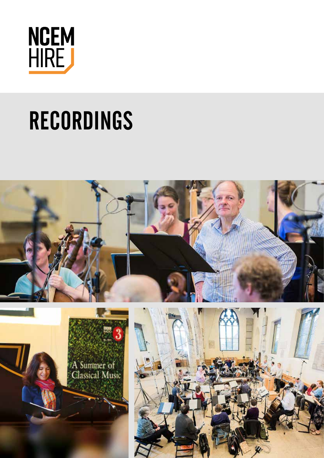

# RECORDINGS

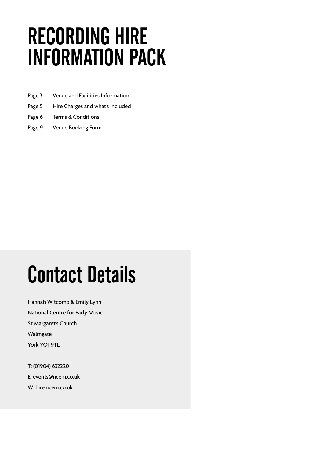## RECORDING HIRE INFORMATION PACK

- Page 3 Venue and Facilities Information
- Page 5 Hire Charges and what's included
- Page 6 Terms & Conditions
- Page 9 Venue Booking Form

## Contact Details

Hannah Witcomb & Emily Lynn National Centre for Early Music St Margaret's Church Walmgate York YO1 9TL

T: (01904) 632220 E: events@ncem.co.uk W: hire.ncem.co.uk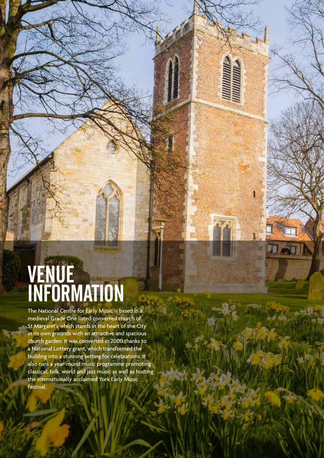### VENUE INFORMATION

The National Centre for Early Music is based in a medieval Grade One listed converted church of St Margaret's which stands in the heart of the City in its own grounds with an attractive and spacious church garden. It was converted in 2000 thanks to a National Lottery grant, which transformed the building into a stunning setting for celebrations. It also runs a year-round music programme promoting classical, folk, world and jazz music as well as hosting the internationally acclaimed York Early Music Festival.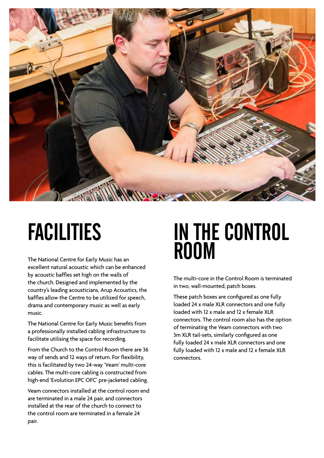

## FACILITIES

The National Centre for Early Music has an excellent natural acoustic which can be enhanced by acoustic baffles set high on the walls of the church. Designed and implemented by the country's leading acousticians, Arup Acoustics, the baffles allow the Centre to be utilized for speech, drama and contemporary music as well as early music.

The National Centre for Early Music benefits from a professionally installed cabling infrastructure to facilitate utilising the space for recording.

From the Church to the Control Room there are 36 way of sends and 12 ways of return. For flexibility, this is facilitated by two 24-way 'Veam' multi-core cables. The multi-core cabling is constructed from high-end 'Evolution EPC OFC' pre-jacketed cabling.

Veam connectors installed at the control room end are terminated in a male 24 pair, and connectors installed at the rear of the church to connect to the control room are terminated in a female 24 pair.

### IN THE CONTROL ROOM

The multi-core in the Control Room is terminated in two, wall-mounted, patch boxes.

These patch boxes are configured as one fully loaded 24 x male XLR connectors and one fully loaded with 12 x male and 12 x female XLR connectors. The control room also has the option of terminating the Veam connectors with two 3m XLR tail-sets, similarly configured as one fully loaded 24 x male XLR connectors and one fully loaded with 12 x male and 12 x female XLR connectors.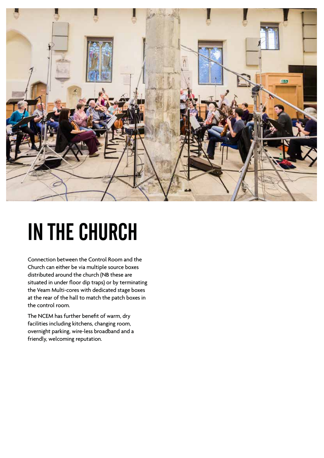

## IN THE CHURCH

Connection between the Control Room and the Church can either be via multiple source boxes distributed around the church (NB these are situated in under floor dip traps) or by terminating the Veam Multi-cores with dedicated stage boxes at the rear of the hall to match the patch boxes in the control room.

The NCEM has further benefit of warm, dry facilities including kitchens, changing room, overnight parking, wire-less broadband and a friendly, welcoming reputation.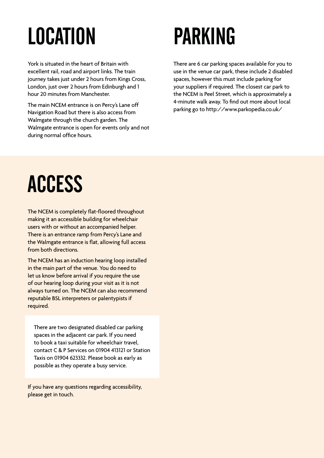# LOCATION

York is situated in the heart of Britain with excellent rail, road and airport links. The train journey takes just under 2 hours from Kings Cross, London, just over 2 hours from Edinburgh and 1 hour 20 minutes from Manchester.

The main NCEM entrance is on Percy's Lane off Navigation Road but there is also access from Walmgate through the church garden. The Walmgate entrance is open for events only and not during normal office hours.

## PARKING

There are 6 car parking spaces available for you to use in the venue car park, these include 2 disabled spaces, however this must include parking for your suppliers if required. The closest car park to the NCEM is Peel Street, which is approximately a 4-minute walk away. To find out more about local parking go to http://www.parkopedia.co.uk/

## **ACCESS**

The NCEM is completely flat-floored throughout making it an accessible building for wheelchair users with or without an accompanied helper. There is an entrance ramp from Percy's Lane and the Walmgate entrance is flat, allowing full access from both directions.

The NCEM has an induction hearing loop installed in the main part of the venue. You do need to let us know before arrival if you require the use of our hearing loop during your visit as it is not always turned on. The NCEM can also recommend reputable BSL interpreters or palentypists if required.

There are two designated disabled car parking spaces in the adjacent car park. If you need to book a taxi suitable for wheelchair travel, contact C & P Services on 01904 413121 or Station Taxis on 01904 623332. Please book as early as possible as they operate a busy service.

If you have any questions regarding accessibility, please get in touch.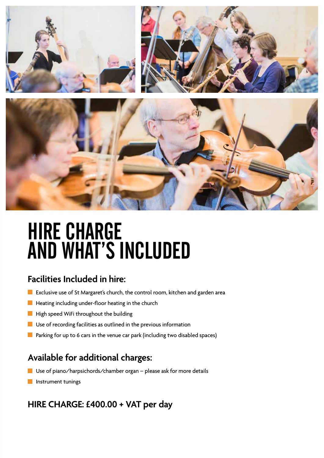

### **HIRE CHARGE** AND WHAT'S INCLUDED

#### **Facilities Included in hire:**

- **Exclusive use of St Margaret's church, the control room, kitchen and garden area**
- $\blacksquare$  Heating including under-floor heating in the church
- $\blacksquare$  High speed WiFi throughout the building
- **Use of recording facilities as outlined in the previous information**
- **Parking for up to 6 cars in the venue car park (including two disabled spaces)**

#### **Available for additional charges:**

- $\blacksquare$  Use of piano/harpsichords/chamber organ please ask for more details
- **Instrument tunings**

#### **HIRE CHARGE: £400.00 + VAT per day**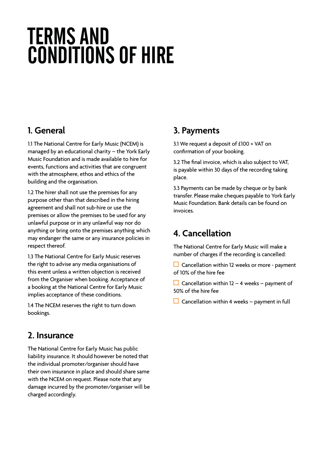### TERMS AND CONDITIONS OF HIRE

#### **1. General**

1.1 The National Centre for Early Music (NCEM) is managed by an educational charity – the York Early Music Foundation and is made available to hire for events, functions and activities that are congruent with the atmosphere, ethos and ethics of the building and the organisation.

1.2 The hirer shall not use the premises for any purpose other than that described in the hiring agreement and shall not sub-hire or use the premises or allow the premises to be used for any unlawful purpose or in any unlawful way nor do anything or bring onto the premises anything which may endanger the same or any insurance policies in respect thereof.

1.3 The National Centre for Early Music reserves the right to advise any media organisations of this event unless a written objection is received from the Organiser when booking. Acceptance of a booking at the National Centre for Early Music implies acceptance of these conditions.

1.4 The NCEM reserves the right to turn down bookings.

#### **2. Insurance**

The National Centre for Early Music has public liability insurance. It should however be noted that the individual promoter/organiser should have their own insurance in place and should share same with the NCEM on request. Please note that any damage incurred by the promoter/organiser will be charged accordingly.

#### **3. Payments**

3.1 We request a deposit of £100 + VAT on confirmation of your booking.

3.2 The final invoice, which is also subject to VAT, is payable within 30 days of the recording taking place.

3.3 Payments can be made by cheque or by bank transfer. Please make cheques payable to York Early Music Foundation. Bank details can be found on invoices.

#### **4. Cancellation**

The National Centre for Early Music will make a number of charges if the recording is cancelled:

 $\Box$  Cancellation within 12 weeks or more - payment of 10% of the hire fee

Cancellation within  $12 - 4$  weeks – payment of 50% of the hire fee

 $\Box$  Cancellation within 4 weeks – payment in full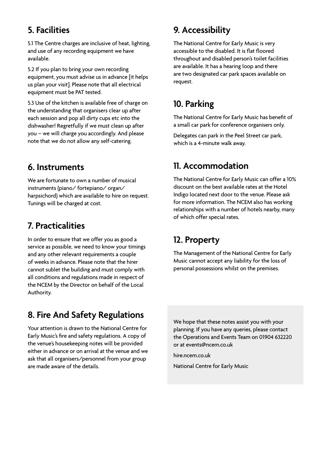#### **5. Facilities**

5.1 The Centre charges are inclusive of heat, lighting, and use of any recording equipment we have available.

5.2 If you plan to bring your own recording equipment, you must advise us in advance [it helps us plan your visit]. Please note that all electrical equipment must be PAT tested.

5.3 Use of the kitchen is available free of charge on the understanding that organisers clear up after each session and pop all dirty cups etc into the dishwasher! Regretfully if we must clean up after you – we will charge you accordingly. And please note that we do not allow any self-catering.

#### **6. Instruments**

We are fortunate to own a number of musical instruments (piano/ fortepiano/ organ/ harpsichord) which are available to hire on request. Tunings will be charged at cost.

#### **7. Practicalities**

In order to ensure that we offer you as good a service as possible, we need to know your timings and any other relevant requirements a couple of weeks in advance. Please note that the hirer cannot sublet the building and must comply with all conditions and regulations made in respect of the NCEM by the Director on behalf of the Local Authority.

#### **8. Fire And Safety Regulations**

Your attention is drawn to the National Centre for Early Music's fire and safety regulations. A copy of the venue's housekeeping notes will be provided either in advance or on arrival at the venue and we ask that all organisers/personnel from your group are made aware of the details.

#### **9. Accessibility**

The National Centre for Early Music is very accessible to the disabled. It is flat floored throughout and disabled person's toilet facilities are available. It has a hearing loop and there are two designated car park spaces available on request.

#### **10. Parking**

The National Centre for Early Music has benefit of a small car park for conference organisers only.

Delegates can park in the Peel Street car park, which is a 4-minute walk away.

#### **11. Accommodation**

The National Centre for Early Music can offer a 10% discount on the best available rates at the Hotel Indigo located next door to the venue. Please ask for more information. The NCEM also has working relationships with a number of hotels nearby, many of which offer special rates.

#### **12. Property**

The Management of the National Centre for Early Music cannot accept any liability for the loss of personal possessions whilst on the premises.

We hope that these notes assist you with your planning. If you have any queries, please contact the Operations and Events Team on 01904 632220 or at events@ncem.co.uk

hire.ncem.co.uk

National Centre for Early Music